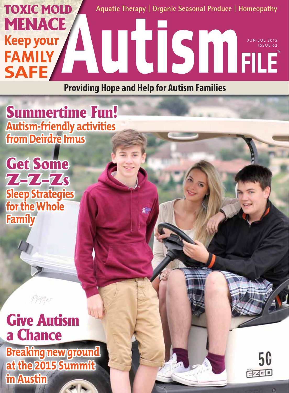

**Providing Hope and Help for Autism Families**

瓣



Get Some  $74747s$ **Sleep Strategies for the Whole Family**

### Give Autism a Chance **Breaking new ground**

**at the 2015 Summit in Austin**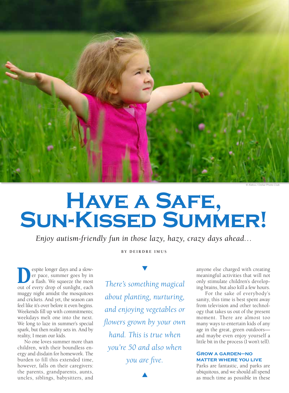

# **HAVE A SAFE,<br>SUN-KISSED SUMMER!**

*Enjoy autism-friendly fun in those lazy, hazy, crazy days ahead…* 

**B Y D E I R D R E I M U S** 

Super longer days and a slow-<br>
out of every drop of suplight each<br>
out of every drop of suplight each er pace, summer goes by in a flash. We squeeze the most out of every drop of sunlight, each muggy night amidst the mosquitoes and crickets. And yet, the season can feel like it's over before it even begins. Weekends fill up with commitments; weekdays melt one into the next. We long to laze in summer's special spark, but then reality sets in. And by reality, I mean our kids.

No one loves summer more than children, with their boundless energy and disdain for homework. The burden to fill this extended time, however, falls on their caregivers: the parents, grandparents, aunts, uncles, siblings, babysitters, and

*There's something magical about planting, nurturing, and enjoying vegetables or flowers grown by your own hand. This is true when you're 50 and also when you are five.*

 $\blacktriangle$ 

anyone else charged with creating meaningful activities that will not only stimulate children's developing brains, but also kill a few hours.

 For the sake of everybody's sanity, this time is best spent away from television and other technology that takes us out of the present moment. There are almost too many ways to entertain kids of any age in the great, green outdoors and maybe even enjoy yourself a little bit in the process (I won't tell).

#### **Grow a garden—no matter where you live**

Parks are fantastic, and parks are ubiquitous, and we should all spend as much time as possible in these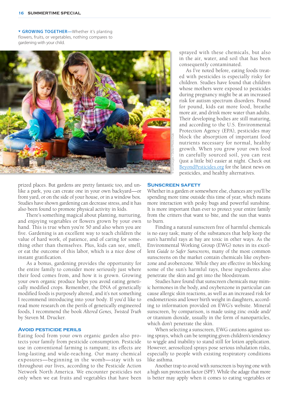**GROWING TOGETHER-Whether it's planting** flowers, fruits, or vegetables, nothing compares to gardening with your child.



prized places. But gardens are pretty fantastic too, and unlike a park, you can create one in your own backyard—or front yard, or on the side of your house, or in a window box. Studies have shown gardening can decrease stress, and it has also been found to promote physical activity in kids.

 There's something magical about planting, nurturing, and enjoying vegetables or flowers grown by your own hand. This is true when you're 50 and also when you are five. Gardening is an excellent way to teach children the value of hard work, of patience, and of caring for something other than themselves. Plus, kids can see, smell, or eat the outcome of this labor, which is a nice dose of instant gratification.

 As a bonus, gardening provides the opportunity for the entire family to consider more seriously just where their food comes from, and how it is grown. Growing your own organic produce helps you avoid eating genetically modified crops. Remember, the DNA of genetically modified foods is purposely altered, and it's not something I recommend introducing into your body. If you'd like to read more research on the perils of genetically engineered foods, I recommend the book *Altered Genes, Twisted Truth* by Steven M. Drucker.

#### **Avoid pesticide perils**

Eating food from your own organic garden also protects your family from pesticide consumption. Pesticide use in conventional farming is rampant; its effects are long-lasting and wide-reaching. Our many chemical exposures—beginning in the womb—stay with us throughout our lives, according to the Pesticide Action Network North America. We encounter pesticides not only when we eat fruits and vegetables that have been

sprayed with these chemicals, but also in the air, water, and soil that has been consequently contaminated.

As I've noted before, eating foods treated with pesticides is especially risky for children. Studies have found that children whose mothers were exposed to pesticides during pregnancy might be at an increased risk for autism spectrum disorders. Pound for pound, kids eat more food, breathe more air, and drink more water than adults. Their developing bodies are still maturing, and according to the U.S. Environmental Protection Agency (EPA), pesticides may block the absorption of important food nutrients necessary for normal, healthy growth. When you grow your own food in carefully sourced soil, you can rest (just a little bit) easier at night. Check out BeyondPesticides.org for the latest news on pesticides, and healthy alternatives.

#### **Sunscreen safety**

Whether in a garden or somewhere else, chances are you'll be spending more time outside this time of year, which means more interaction with pesky bugs and powerful sunshine. It is more important than ever to protect your entire family from the critters that want to bite, and the sun that wants to burn.

 Finding a natural sunscreen free of harmful chemicals is no easy task; many of the substances that help keep the sun's harmful rays at bay are toxic in other ways. As the Environmental Working Group (EWG) notes in its excellent *Guide to Safer Sunscreens,* many of the most common sunscreens on the market contain chemicals like oxybenzone and avobenzone. While they are effective in blocking some of the sun's harmful rays, these ingredients also penetrate the skin and get into the bloodstream.

 Studies have found that sunscreen chemicals may mimic hormones in the body, and oxybenzone in particular can cause allergic skin reactions, as well as an increased risk for endometriosis and lower birth weight in daughters, according to information provided on EWG's website. Mineral sunscreen, by comparison, is made using zinc oxide and/ or titanium dioxide, usually in the form of nanoparticles, which don't penetrate the skin.

 When selecting a sunscreen, EWG cautions against using sprays, which can be tempting given children's tendency to wiggle and inability to stand still for lotion application. However, aerosolized sprays pose serious inhalation risks, especially to people with existing respiratory conditions like asthma.

 Another trap to avoid with sunscreen is buying one with a high sun protection factor (SPF). While the adage that more is better may apply when it comes to eating vegetables or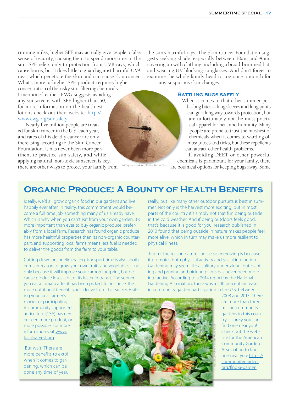running miles, higher SPF may actually give people a false sense of security, causing them to spend more time in the sun. SPF refers only to protection from UVB rays, which cause burns, but it does little to guard against harmful UVA rays, which penetrate the skin and can cause skin cancer.

What's more, a higher SPF product requires higher concentration of the risky sun-filtering chemicals I mentioned earlier. EWG suggests avoiding any sunscreens with SPF higher than 50; for more information on the healthiest lotions check out their website: http:// www.ewg.org/sunsafety

 Nearly five million people are treated for skin cancer in the U.S. each year, and rates of this deadly cancer are only increasing according to the Skin Cancer Foundation. It has never been more pertinent to practice sun safety, and while applying natural, non-toxic sunscreen is key,

there are other ways to protect your family from

the sun's harmful rays. The Skin Cancer Foundation suggests seeking shade, especially between 10am and 4pm; covering up with clothing, including a broad-brimmed hat; and wearing UV-blocking sunglasses. And don't forget to examine the whole family head-to-toe once a month for any suspicious skin changes.

#### **Battling bugs safely**

When it comes to that other summer peril—bug bites—long sleeves and long pants can go a long way towards protection, but are unfortunately not the most practical apparel for heat and humidity. Many people are prone to trust the harshest of chemicals when it comes to warding off mosquitoes and ticks, but these repellents can attract other health problems.

If avoiding DEET or other powerful chemicals is paramount for your family, there

are botanical options for keeping bugs away. Some © Krzysztof Wiktor / Dollar Photo Club

#### **Organic Produce: A Bounty of Health Benefits**

Ideally, we'd all grow organic food in our gardens and live happily ever after. In reality, this commitment would become a full time job, something many of us already have. Which is why when you can't eat from your own garden, it's more important than ever to buy organic produce, preferably from a local farm. Research has found organic produce has more healthful properties than its non-organic counterpart, and supporting local farms means less fuel is needed to deliver the goods from the farm to your table.

Cutting down on, or eliminating, transport time is also another major reason to grow your own fruits and vegetables—not only because it will improve your carbon footprint, but because produce loses a bit of its luster in transit. The sooner you eat a tomato after it has been picked, for instance, the more nutritional benefits you'll derive from that sucker. Visitreally, but like many other outdoor pursuits is best in summer. Not only is the harvest more exciting, but in most parts of the country it's simply not that fun being outside in the cold weather. And if being outdoors feels good, that's because it is good for you: research published in 2010 found that being outside in nature makes people feel more alive, which in turn may make us more resilient to physical illness.

 Part of the reason nature can be so energizing is because it promotes both physical activity and social interaction. Gardening may seem like a solitary undertaking, but planting and pruning and picking plants has never been more interactive. According to a 2014 report by the National Gardening Association, there was a 200 percent increase in community garden participation in the U.S. between

ing your local farmer's market or participating in community supported agriculture (CSA) has never been more prudent, or more possible. For more information visit www. localharvest.org

 But wait! There are more benefits to extol when it comes to gardening, which can be done any time of year,



2008 and 2013. There are more than three million community gardens in this country—surely you can find one near you! Check out the website for the American Community Garden Association to find one near you: https:// communitygarden. org/find-a-garden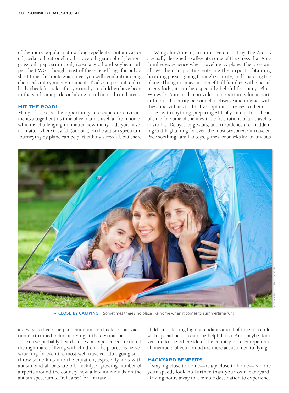of the more popular natural bug repellents contain castor oil, cedar oil, citronella oil, clove oil, geraniol oil, lemongrass oil, peppermint oil, rosemary oil and soybean oil, per the EWG. Though most of these repel bugs for only a short time, this route guarantees you will avoid introducing chemicals into your environment. It's also important to do a body check for ticks after you and your children have been in the yard, or a park, or hiking in urban and rural areas.

#### **Hit the road!**

Many of us seize the opportunity to escape our environments altogether this time of year and travel far from home, which is challenging no matter how many kids you have, no matter where they fall (or don't) on the autism spectrum. Journeying by plane can be particularly stressful, but there

Wings for Autism, an initiative created by The Arc, is specially designed to alleviate some of the stress that ASD families experience when traveling by plane. The program allows them to practice entering the airport, obtaining boarding passes, going through security, and boarding the plane. Though it may not benefit all families with special needs kids, it can be especially helpful for many. Plus, Wings for Autism also provides an opportunity for airport, airline, and security personnel to observe and interact with these individuals and deliver optimal services to them.

 As with anything, preparing ALL of your children ahead of time for some of the inevitable frustrations of air travel is advisable. Delays, long waits, and turbulence are maddening and frightening for even the most seasoned air traveler. Pack soothing, familiar toys, games, or snacks for an anxious



 **CLOSE-BY CAMPING—**Sometimes there's no place like home when it comes to summertime fun!

are ways to keep the pandemonium in check so that vacation isn't ruined before arriving at the destination.

 You've probably heard stories or experienced firsthand the nightmare of flying with children. The process is nervewracking for even the most well-traveled adult going solo; throw some kids into the equation, especially kids with autism, and all bets are off. Luckily, a growing number of airports around the country now allow individuals on the autism spectrum to "rehearse" for air travel.

child, and alerting flight attendants ahead of time to a child with special needs could be helpful, too. And maybe don't venture to the other side of the country or to Europe until all members of your brood are more accustomed to flying.

#### **Backyard benefits**

If staying close to home—*really* close to home—is more your speed, look no further than your own backyard. Driving hours away to a remote destination to experience